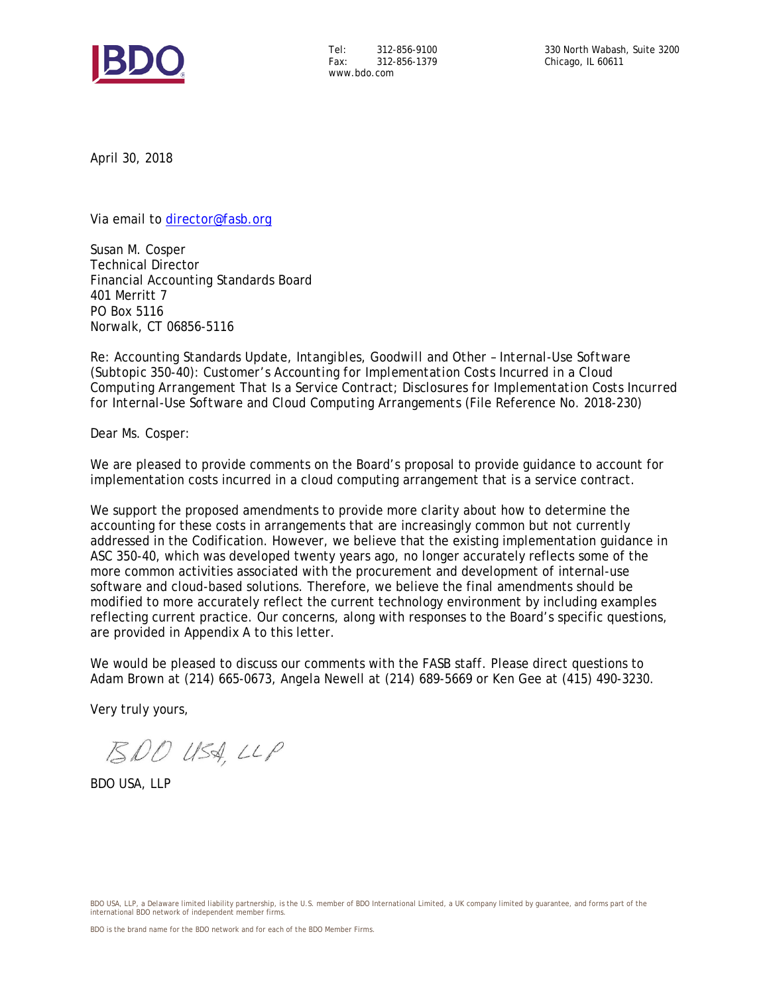

Tel: 312-856-9100 Fax: 312-856-1379 www.bdo.com

April 30, 2018

Via email to [director@fasb.org](mailto:director@fasb.org)

Susan M. Cosper Technical Director Financial Accounting Standards Board 401 Merritt 7 PO Box 5116 Norwalk, CT 06856-5116

Re: Accounting Standards Update, *Intangibles, Goodwill and Other – Internal-Use Software (Subtopic 350-40): Customer's Accounting for Implementation Costs Incurred in a Cloud Computing Arrangement That Is a Service Contract; Disclosures for Implementation Costs Incurred for Internal-Use Software and Cloud Computing Arrangements* (File Reference No. 2018-230)

Dear Ms. Cosper:

We are pleased to provide comments on the Board's proposal to provide guidance to account for implementation costs incurred in a cloud computing arrangement that is a service contract.

We support the proposed amendments to provide more clarity about how to determine the accounting for these costs in arrangements that are increasingly common but not currently addressed in the Codification. However, we believe that the existing implementation guidance in ASC 350-40, which was developed twenty years ago, no longer accurately reflects some of the more common activities associated with the procurement and development of internal-use software and cloud-based solutions. Therefore, we believe the final amendments should be modified to more accurately reflect the current technology environment by including examples reflecting current practice. Our concerns, along with responses to the Board's specific questions, are provided in Appendix A to this letter.

We would be pleased to discuss our comments with the FASB staff. Please direct questions to Adam Brown at (214) 665-0673, Angela Newell at (214) 689-5669 or Ken Gee at (415) 490-3230.

Very truly yours,

BDO USA, LLP

BDO USA, LLP

BDO USA, LLP, a Delaware limited liability partnership, is the U.S. member of BDO International Limited, a UK company limited by guarantee, and forms part of the international BDO network of independent member firms.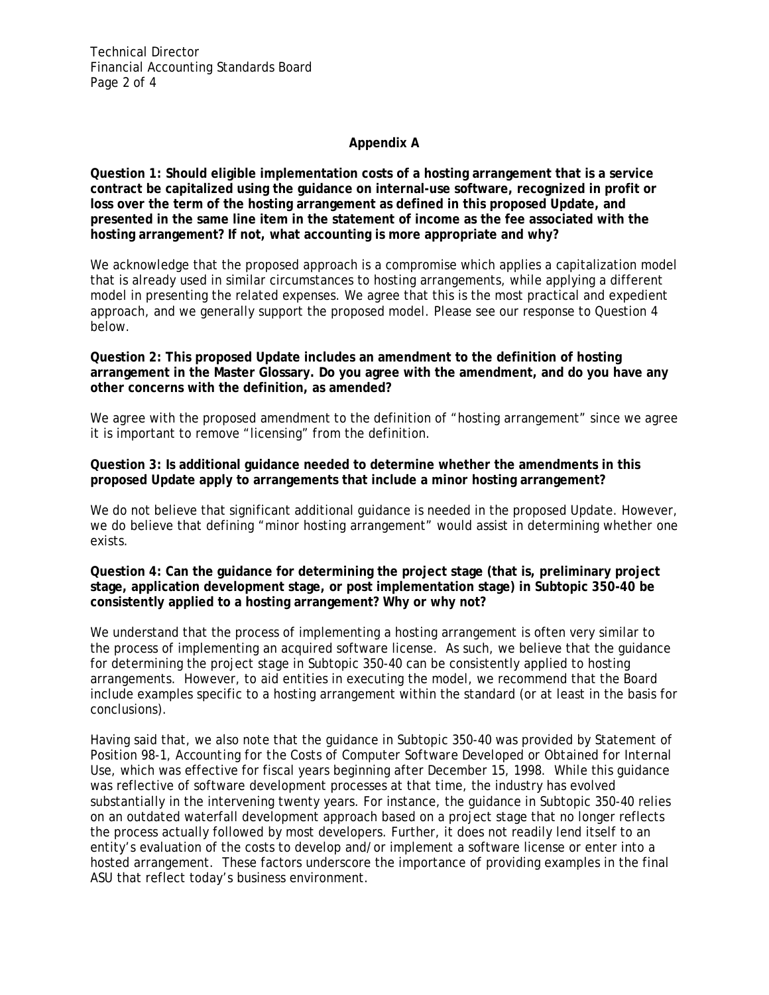Technical Director Financial Accounting Standards Board Page 2 of 4

## **Appendix A**

**Question 1: Should eligible implementation costs of a hosting arrangement that is a service contract be capitalized using the guidance on internal-use software, recognized in profit or loss over the term of the hosting arrangement as defined in this proposed Update, and presented in the same line item in the statement of income as the fee associated with the hosting arrangement? If not, what accounting is more appropriate and why?**

We acknowledge that the proposed approach is a compromise which applies a capitalization model that is already used in similar circumstances to hosting arrangements, while applying a different model in presenting the related expenses. We agree that this is the most practical and expedient approach, and we generally support the proposed model. Please see our response to Question 4 below.

**Question 2: This proposed Update includes an amendment to the definition of hosting arrangement in the Master Glossary. Do you agree with the amendment, and do you have any other concerns with the definition, as amended?**

We agree with the proposed amendment to the definition of "hosting arrangement" since we agree it is important to remove "licensing" from the definition.

#### **Question 3: Is additional guidance needed to determine whether the amendments in this proposed Update apply to arrangements that include a minor hosting arrangement?**

We do not believe that significant additional guidance is needed in the proposed Update. However, we do believe that defining "minor hosting arrangement" would assist in determining whether one exists.

## **Question 4: Can the guidance for determining the project stage (that is, preliminary project stage, application development stage, or post implementation stage) in Subtopic 350-40 be consistently applied to a hosting arrangement? Why or why not?**

We understand that the process of implementing a hosting arrangement is often very similar to the process of implementing an acquired software license. As such, we believe that the guidance for determining the project stage in Subtopic 350-40 can be consistently applied to hosting arrangements. However, to aid entities in executing the model, we recommend that the Board include examples specific to a hosting arrangement within the standard (or at least in the basis for conclusions).

Having said that, we also note that the guidance in Subtopic 350-40 was provided by Statement of Position 98-1, *Accounting for the Costs of Computer Software Developed or Obtained for Internal Use*, which was effective for fiscal years beginning after December 15, 1998. While this guidance was reflective of software development processes at that time, the industry has evolved substantially in the intervening twenty years. For instance, the guidance in Subtopic 350-40 relies on an outdated waterfall development approach based on a project stage that no longer reflects the process actually followed by most developers. Further, it does not readily lend itself to an entity's evaluation of the costs to develop and/or implement a software license or enter into a hosted arrangement. These factors underscore the importance of providing examples in the final ASU that reflect today's business environment.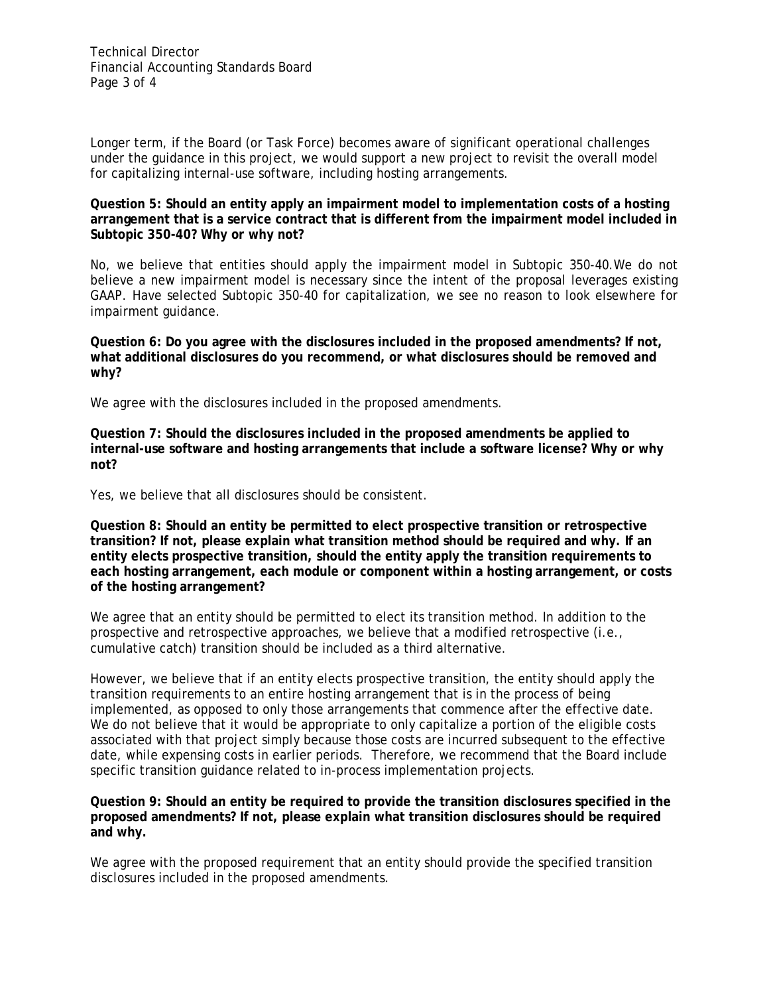Longer term, if the Board (or Task Force) becomes aware of significant operational challenges under the guidance in this project, we would support a new project to revisit the overall model for capitalizing internal-use software, including hosting arrangements.

# **Question 5: Should an entity apply an impairment model to implementation costs of a hosting arrangement that is a service contract that is different from the impairment model included in Subtopic 350-40? Why or why not?**

No, we believe that entities should apply the impairment model in Subtopic 350-40.We do not believe a new impairment model is necessary since the intent of the proposal leverages existing GAAP. Have selected Subtopic 350-40 for capitalization, we see no reason to look elsewhere for impairment guidance.

**Question 6: Do you agree with the disclosures included in the proposed amendments? If not, what additional disclosures do you recommend, or what disclosures should be removed and why?**

We agree with the disclosures included in the proposed amendments.

**Question 7: Should the disclosures included in the proposed amendments be applied to internal-use software and hosting arrangements that include a software license? Why or why not?**

Yes, we believe that all disclosures should be consistent.

**Question 8: Should an entity be permitted to elect prospective transition or retrospective transition? If not, please explain what transition method should be required and why. If an entity elects prospective transition, should the entity apply the transition requirements to each hosting arrangement, each module or component within a hosting arrangement, or costs of the hosting arrangement?**

We agree that an entity should be permitted to elect its transition method. In addition to the prospective and retrospective approaches, we believe that a modified retrospective (i.e., cumulative catch) transition should be included as a third alternative.

However, we believe that if an entity elects prospective transition, the entity should apply the transition requirements to an entire hosting arrangement that is in the process of being implemented, as opposed to only those arrangements that commence after the effective date. We do not believe that it would be appropriate to only capitalize a portion of the eligible costs associated with that project simply because those costs are incurred subsequent to the effective date, while expensing costs in earlier periods. Therefore, we recommend that the Board include specific transition guidance related to in-process implementation projects.

## **Question 9: Should an entity be required to provide the transition disclosures specified in the proposed amendments? If not, please explain what transition disclosures should be required and why.**

We agree with the proposed requirement that an entity should provide the specified transition disclosures included in the proposed amendments.